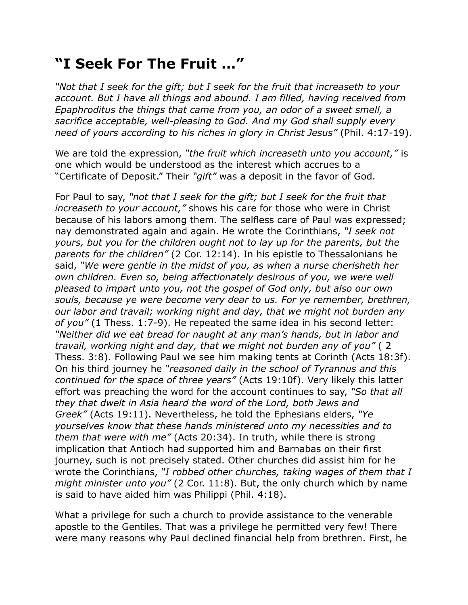## **"I Seek For The Fruit …"**

*"Not that I seek for the gift; but I seek for the fruit that increaseth to your account. But I have all things and abound. I am filled, having received from Epaphroditus the things that came from you, an odor of a sweet smell, a sacrifice acceptable, well-pleasing to God. And my God shall supply every need of yours according to his riches in glory in Christ Jesus"* (Phil. 4:17-19).

We are told the expression, *"the fruit which increaseth unto you account,"* is one which would be understood as the interest which accrues to a "Certificate of Deposit." Their *"gift"* was a deposit in the favor of God.

For Paul to say, *"not that I seek for the gift; but I seek for the fruit that increaseth to your account,"* shows his care for those who were in Christ because of his labors among them. The selfless care of Paul was expressed; nay demonstrated again and again. He wrote the Corinthians, *"I seek not yours, but you for the children ought not to lay up for the parents, but the parents for the children"* (2 Cor. 12:14). In his epistle to Thessalonians he said, *"We were gentle in the midst of you, as when a nurse cherisheth her own children. Even so, being affectionately desirous of you, we were well pleased to impart unto you, not the gospel of God only, but also our own souls, because ye were become very dear to us. For ye remember, brethren, our labor and travail; working night and day, that we might not burden any of you"* (1 Thess. 1:7-9). He repeated the same idea in his second letter: *"Neither did we eat bread for naught at any man's hands, but in labor and travail, working night and day, that we might not burden any of you"* ( 2 Thess. 3:8). Following Paul we see him making tents at Corinth (Acts 18:3f). On his third journey he *"reasoned daily in the school of Tyrannus and this continued for the space of three years"* (Acts 19:10f). Very likely this latter effort was preaching the word for the account continues to say, *"So that all they that dwelt in Asia heard the word of the Lord, both Jews and Greek"* (Acts 19:11). Nevertheless, he told the Ephesians elders, *"Ye yourselves know that these hands ministered unto my necessities and to them that were with me"* (Acts 20:34). In truth, while there is strong implication that Antioch had supported him and Barnabas on their first journey, such is not precisely stated. Other churches did assist him for he wrote the Corinthians, *"I robbed other churches, taking wages of them that I might minister unto you"* (2 Cor. 11:8). But, the only church which by name is said to have aided him was Philippi (Phil. 4:18).

What a privilege for such a church to provide assistance to the venerable apostle to the Gentiles. That was a privilege he permitted very few! There were many reasons why Paul declined financial help from brethren. First, he